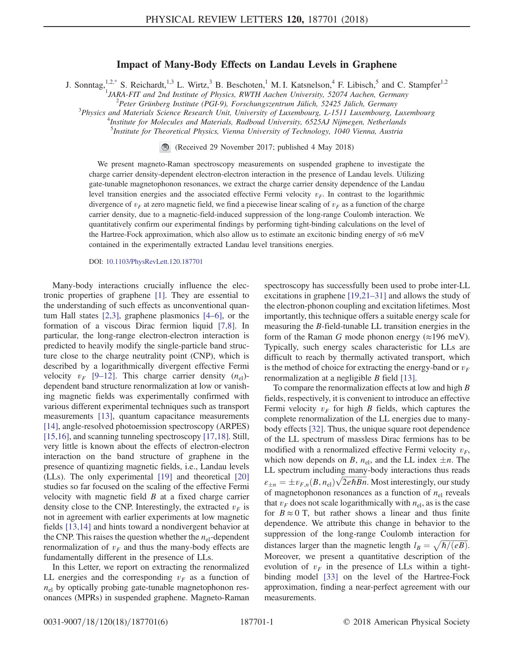## Impact of Many-Body Effects on Landau Levels in Graphene

<span id="page-0-0"></span>J. Sonntag,<sup>1,[2,\\*](#page-4-0)</sup> S. Reichardt,<sup>1,3</sup> L. Wirtz,<sup>3</sup> B. Beschoten,<sup>1</sup> M. I. Katsnelson,<sup>4</sup> F. Libisch,<sup>5</sup> and C. Stampfer<sup>1,2</sup><br><sup>2</sup> *JARA-FIT and 2nd Institute of Physics, RWTH Aachen University, 52074 Aachen, Germany*<br><sup>2</sup>

 $P^2$ Peter Grünberg Institute (PGI-9), Forschungszentrum Jülich, 52425 Jülich, Germany

 $3$ Physics and Materials Science Research Unit, University of Luxembourg, L-1511 Luxembourg, Luxembourg

<sup>4</sup>Institute for Molecules and Materials, Radboud University, 6525AJ Nijmegen, Netherlands

<sup>5</sup>Institute for Theoretical Physics, Vienna University of Technology, 1040 Vienna, Austria

(Received 29 November 2017; published 4 May 2018)

We present magneto-Raman spectroscopy measurements on suspended graphene to investigate the charge carrier density-dependent electron-electron interaction in the presence of Landau levels. Utilizing gate-tunable magnetophonon resonances, we extract the charge carrier density dependence of the Landau level transition energies and the associated effective Fermi velocity  $v_F$ . In contrast to the logarithmic divergence of  $v_F$  at zero magnetic field, we find a piecewise linear scaling of  $v_F$  as a function of the charge carrier density, due to a magnetic-field-induced suppression of the long-range Coulomb interaction. We quantitatively confirm our experimental findings by performing tight-binding calculations on the level of the Hartree-Fock approximation, which also allow us to estimate an excitonic binding energy of ≈6 meV contained in the experimentally extracted Landau level transitions energies.

DOI: [10.1103/PhysRevLett.120.187701](https://doi.org/10.1103/PhysRevLett.120.187701)

Many-body interactions crucially influence the electronic properties of graphene [\[1\].](#page-4-1) They are essential to the understanding of such effects as unconventional quantum Hall states [\[2,3\],](#page-4-2) graphene plasmonics [4–[6\],](#page-4-3) or the formation of a viscous Dirac fermion liquid [\[7,8\].](#page-4-4) In particular, the long-range electron-electron interaction is predicted to heavily modify the single-particle band structure close to the charge neutrality point (CNP), which is described by a logarithmically divergent effective Fermi velocity  $v_F$  [9–[12\]](#page-4-5). This charge carrier density  $(n_{el})$ dependent band structure renormalization at low or vanishing magnetic fields was experimentally confirmed with various different experimental techniques such as transport measurements [\[13\]](#page-4-6), quantum capacitance measurements [\[14\]](#page-4-7), angle-resolved photoemission spectroscopy (ARPES) [\[15,16\]](#page-4-8), and scanning tunneling spectroscopy [\[17,18\]](#page-4-9). Still, very little is known about the effects of electron-electron interaction on the band structure of graphene in the presence of quantizing magnetic fields, i.e., Landau levels (LLs). The only experimental [\[19\]](#page-4-10) and theoretical [\[20\]](#page-4-11) studies so far focused on the scaling of the effective Fermi velocity with magnetic field  $B$  at a fixed charge carrier density close to the CNP. Interestingly, the extracted  $v_F$  is not in agreement with earlier experiments at low magnetic fields [\[13,14\]](#page-4-6) and hints toward a nondivergent behavior at the CNP. This raises the question whether the  $n_{el}$ -dependent renormalization of  $v_F$  and thus the many-body effects are fundamentally different in the presence of LLs.

In this Letter, we report on extracting the renormalized LL energies and the corresponding  $v_F$  as a function of  $n<sub>el</sub>$  by optically probing gate-tunable magnetophonon resonances (MPRs) in suspended graphene. Magneto-Raman spectroscopy has successfully been used to probe inter-LL excitations in graphene [\[19,21](#page-4-10)–31] and allows the study of the electron-phonon coupling and excitation lifetimes. Most importantly, this technique offers a suitable energy scale for measuring the B-field-tunable LL transition energies in the form of the Raman G mode phonon energy  $(\approx 196 \text{ meV})$ . Typically, such energy scales characteristic for LLs are difficult to reach by thermally activated transport, which is the method of choice for extracting the energy-band or  $v_F$ renormalization at a negligible B field [\[13\]](#page-4-6).

To compare the renormalization effects at low and high  $B$ fields, respectively, it is convenient to introduce an effective Fermi velocity  $v_F$  for high B fields, which captures the complete renormalization of the LL energies due to manybody effects [\[32\]](#page-4-12). Thus, the unique square root dependence of the LL spectrum of massless Dirac fermions has to be modified with a renormalized effective Fermi velocity  $v_F$ , which now depends on B,  $n_{el}$ , and the LL index  $\pm n$ . The LL spectrum including many-body interactions thus reads  $\varepsilon_{\pm n} = \pm v_{F,n}(B, n_{\rm el}) \sqrt{2e\hbar Bn}$ . Most interestingly, our study<br>of magnetophonon resonances as a function of *n*, reveals of magnetophonon resonances as a function of  $n_{el}$  reveals that  $v_F$  does not scale logarithmically with  $n_{el}$ , as is the case for  $B \approx 0$  T, but rather shows a linear and thus finite dependence. We attribute this change in behavior to the suppression of the long-range Coulomb interaction for distances larger than the magnetic length  $l_B = \sqrt{\hbar/(eB)}$ .<br>Moreover, we present a quantitative description of the Moreover, we present a quantitative description of the evolution of  $v_F$  in the presence of LLs within a tightbinding model [\[33\]](#page-5-0) on the level of the Hartree-Fock approximation, finding a near-perfect agreement with our measurements.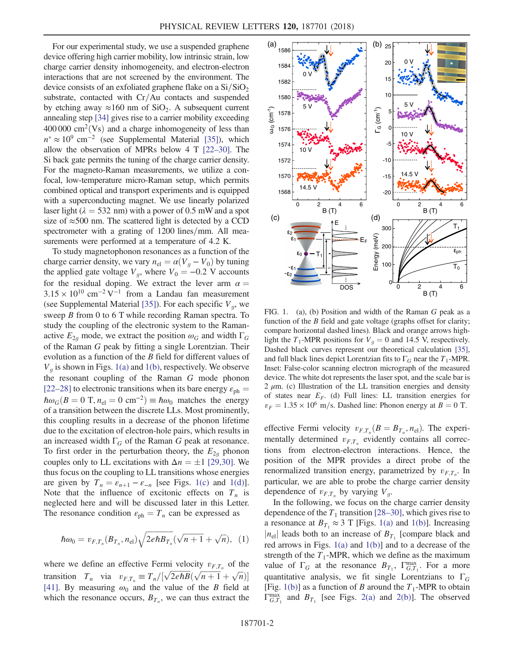For our experimental study, we use a suspended graphene device offering high carrier mobility, low intrinsic strain, low charge carrier density inhomogeneity, and electron-electron interactions that are not screened by the environment. The device consists of an exfoliated graphene flake on a  $\text{Si}/\text{SiO}_2$ substrate, contacted with  $Cr/Au$  contacts and suspended by etching away  $\approx 160$  nm of SiO<sub>2</sub>. A subsequent current annealing step [\[34\]](#page-5-1) gives rise to a carrier mobility exceeding  $400 000 \text{ cm}^2$ (Vs) and a charge inhomogeneity of less than  $n^* \approx 10^9$  cm<sup>-2</sup> (see Supplemental Material [\[35\]](#page-5-2)), which allow the observation of MPRs below 4 T [22–[30\].](#page-4-13) The Si back gate permits the tuning of the charge carrier density. For the magneto-Raman measurements, we utilize a confocal, low-temperature micro-Raman setup, which permits combined optical and transport experiments and is equipped with a superconducting magnet. We use linearly polarized laser light ( $\lambda = 532$  nm) with a power of 0.5 mW and a spot size of  $\approx$ 500 nm. The scattered light is detected by a CCD spectrometer with a grating of  $1200$  lines/mm. All measurements were performed at a temperature of 4.2 K.

To study magnetophonon resonances as a function of the charge carrier density, we vary  $n_{el} = \alpha (V_q - V_0)$  by tuning the applied gate voltage  $V_g$ , where  $V_0 = -0.2$  V accounts for the residual doping. We extract the lever arm  $\alpha =$  $3.15 \times 10^{10}$  cm<sup>-2</sup> V<sup>-1</sup> from a Landau fan measurement (see Supplemental Material [\[35\]](#page-5-2)). For each specific  $V<sub>q</sub>$ , we sweep B from 0 to 6 T while recording Raman spectra. To study the coupling of the electronic system to the Ramanactive  $E_{2q}$  mode, we extract the position  $\omega_G$  and width  $\Gamma_G$ of the Raman G peak by fitting a single Lorentzian. Their evolution as a function of the B field for different values of  $V<sub>q</sub>$  is shown in Figs. [1\(a\)](#page-1-0) and [1\(b\)](#page-1-0), respectively. We observe the resonant coupling of the Raman G mode phonon [\[22](#page-4-13)–28] to electronic transitions when its bare energy  $\varepsilon_{ph}$  =  $\hbar\omega_G(B=0\text{ T}, n_\text{el}=0\text{ cm}^{-2})\equiv\hbar\omega_0$  matches the energy of a transition between the discrete LLs. Most prominently, this coupling results in a decrease of the phonon lifetime due to the excitation of electron-hole pairs, which results in an increased width  $\Gamma_G$  of the Raman G peak at resonance. To first order in the perturbation theory, the  $E_{2q}$  phonon couples only to LL excitations with  $\Delta n = \pm 1$  [\[29,30\].](#page-4-14) We thus focus on the coupling to LL transitions whose energies are given by  $T_n = \varepsilon_{n+1} - \varepsilon_{-n}$  [see Figs. [1\(c\)](#page-1-0) and [1\(d\)](#page-1-0)]. Note that the influence of excitonic effects on  $T_n$  is neglected here and will be discussed later in this Letter. The resonance condition  $\varepsilon_{ph} = T_n$  can be expressed as

<span id="page-1-1"></span>
$$
\hbar \omega_0 = v_{F,T_n}(B_{T_n}, n_{\rm el}) \sqrt{2e\hbar B_{T_n}} (\sqrt{n+1} + \sqrt{n}), \quad (1)
$$

where we define an effective Fermi velocity  $v_{F,T_n}$  of the transition  $T_n$  via  $v_{F,T_n} \equiv T_n/[\sqrt{2e\hbar B}(\sqrt{n+1}+\sqrt{n})]$ <br>[411] By measuring  $\omega_n$  and the value of the B field at [\[41\]](#page-5-3). By measuring  $\omega_0$  and the value of the B field at which the resonance occurs,  $B_{T_n}$ , we can thus extract the

<span id="page-1-0"></span>

FIG. 1. (a), (b) Position and width of the Raman G peak as a function of the  $B$  field and gate voltage (graphs offset for clarity; compare horizontal dashed lines). Black and orange arrows highlight the T<sub>1</sub>-MPR positions for  $V_g = 0$  and 14.5 V, respectively. Dashed black curves represent our theoretical calculation [\[35\],](#page-5-2) and full black lines depict Lorentzian fits to  $\Gamma_G$  near the  $T_1$ -MPR. Inset: False-color scanning electron micrograph of the measured device. The white dot represents the laser spot, and the scale bar is  $2 \mu$ m. (c) Illustration of the LL transition energies and density of states near  $E_F$ . (d) Full lines: LL transition energies for  $v_F = 1.35 \times 10^6$  m/s. Dashed line: Phonon energy at  $B = 0$  T.

effective Fermi velocity  $v_{F,T_n}(B = B_{T_n}, n_{el})$ . The experimentally determined  $v_{F,T_n}$  evidently contains all corrections from electron-electron interactions. Hence, the position of the MPR provides a direct probe of the renormalized transition energy, parametrized by  $v_{F,T_n}$ . In<br>particular, we are able to probe the charge carrier density particular, we are able to probe the charge carrier density dependence of  $v_{F,T_n}$  by varying  $V_q$ .

In the following, we focus on the charge carrier density dependence of the  $T_1$  transition [28–[30\],](#page-4-15) which gives rise to a resonance at  $B_{T_1} \approx 3$  T [Figs. [1\(a\)](#page-1-0) and [1\(b\)](#page-1-0)]. Increasing  $|n_{el}|$  leads both to an increase of  $B_{T_1}$  [compare black and red arrows in Figs.  $1(a)$  and  $1(b)$ ] and to a decrease of the strength of the  $T_1$ -MPR, which we define as the maximum value of  $\Gamma_G$  at the resonance  $B_{T_1}$ ,  $\Gamma_{G,T_1}^{\text{max}}$ . For a more quantitative analysis, we fit single Lorentzians to  $\Gamma_G$ <br>(Fig. 1(b)] as a function of *B* around the *T*. MPP to obtain [Fig. [1\(b\)\]](#page-1-0) as a function of B around the  $T_1$ -MPR to obtain  $\Gamma_{G,T_1}^{\text{max}}$  and  $B_{T_1}$  [see Figs. [2\(a\)](#page-2-0) and [2\(b\)\]](#page-2-0). The observed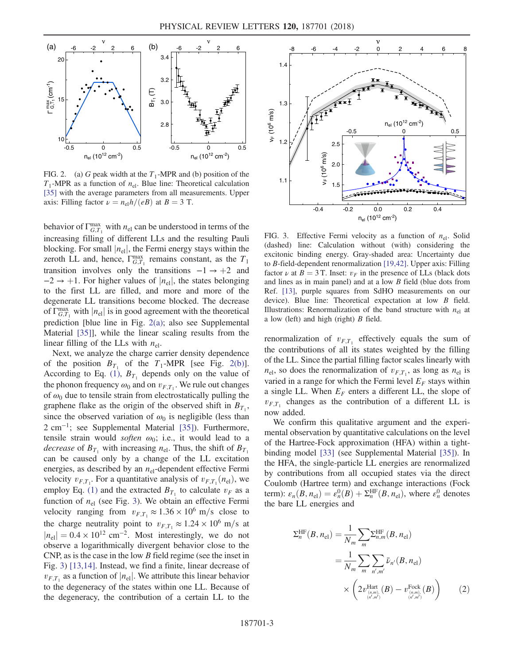<span id="page-2-0"></span>

FIG. 2. (a) G peak width at the  $T_1$ -MPR and (b) position of the  $T_1$ -MPR as a function of  $n_{el}$ . Blue line: Theoretical calculation [\[35\]](#page-5-2) with the average parameters from all measurements. Upper axis: Filling factor  $\nu = n_{el}h/(eB)$  at  $B = 3$  T.

behavior of  $\Gamma_{G,T_1}^{\text{max}}$  with  $n_{el}$  can be understood in terms of the increasing  $\epsilon$ . increasing filling of different LLs and the resulting Pauli blocking. For small  $|n_{el}|$ , the Fermi energy stays within the zeroth LL and, hence,  $\Gamma_{G,T_1}^{\text{max}}$  remains constant, as the  $T_1$ <br>transition involves only the transitions  $1 \times 12$  and transition involves only the transitions  $-1 \rightarrow +2$  and  $-2 \rightarrow +1$ . For higher values of  $|n_{el}|$ , the states belonging to the first LL are filled, and more and more of the degenerate LL transitions become blocked. The decrease of  $\Gamma_{G,T_1}^{\text{max}}$  with  $|n_{\text{el}}|$  is in good agreement with the theoretical<br>production [blue line in Fig. 2(a)) also age Sunplemental prediction [blue line in Fig. [2\(a\)](#page-2-0); also see Supplemental Material [\[35\]](#page-5-2)], while the linear scaling results from the linear filling of the LLs with  $n_{el}$ .

Next, we analyze the charge carrier density dependence of the position  $B_{T_1}$  of the  $T_1$ -MPR [see Fig. [2\(b\)](#page-2-0)]. According to Eq. [\(1\),](#page-1-1)  $B_{T_1}$  depends only on the value of the phonon frequency  $\omega_0$  and on  $v_{F,T_1}$ . We rule out changes of  $\omega_0$  due to tensile strain from electrostatically pulling the graphene flake as the origin of the observed shift in  $B_{T_1}$ , since the observed variation of  $\omega_0$  is negligible (less than 2 cm<sup>-1</sup>; see Supplemental Material [\[35\]\)](#page-5-2). Furthermore, tensile strain would *soften*  $\omega_0$ ; i.e., it would lead to a *decrease* of  $B_T$ , with increasing  $n_{el}$ . Thus, the shift of  $B_T$ . can be caused only by a change of the LL excitation energies, as described by an  $n_{el}$ -dependent effective Fermi velocity  $v_{F,T_1}$ . For a quantitative analysis of  $v_{F,T_1}(n_{el})$ , we employ Eq. (1) and the extracted B, to calculate  $v_{F,T_2}$ employ Eq. [\(1\)](#page-1-1) and the extracted  $B_{T_1}$  to calculate  $v_F$  as a function of  $n_{el}$  (see Fig. [3](#page-2-1)). We obtain an effective Fermi velocity ranging from  $v_{F,T_1} \approx 1.36 \times 10^6$  m/s close to the charge neutrality point to  $v_{F,T_1} \approx 1.24 \times 10^6$  m/s at  $|n_{\text{el}}| = 0.4 \times 10^{12} \text{ cm}^{-2}$ . Most interestingly, we do not observe a logarithmically divergent behavior close to the CNP, as is the case in the low  $B$  field regime (see the inset in Fig. [3\)](#page-2-1) [\[13,14\]](#page-4-6). Instead, we find a finite, linear decrease of  $v_{F,T_1}$  as a function of  $|n_{el}|$ . We attribute this linear behavior to the degeneracy of the states within one LL. Because of the degeneracy, the contribution of a certain LL to the

<span id="page-2-1"></span>

FIG. 3. Effective Fermi velocity as a function of  $n_{el}$ . Solid (dashed) line: Calculation without (with) considering the excitonic binding energy. Gray-shaded area: Uncertainty due to B-field-dependent renormalization [\[19,42\]](#page-4-10). Upper axis: Filling factor  $\nu$  at  $B = 3$  T. Inset:  $v_F$  in the presence of LLs (black dots and lines as in main panel) and at a low B field (blue dots from Ref. [\[13\],](#page-4-6) purple squares from SdHO measurements on our device). Blue line: Theoretical expectation at low B field. Illustrations: Renormalization of the band structure with  $n<sub>el</sub>$  at a low (left) and high (right)  $B$  field.

renormalization of  $v_{F,T_1}$  effectively equals the sum of the contributions of all its states weighted by the filling of the LL. Since the partial filling factor scales linearly with  $n_{el}$ , so does the renormalization of  $v_{FT_1}$ , as long as  $n_{el}$  is varied in a range for which the Fermi level  $E_F$  stays within a single LL. When  $E_F$  enters a different LL, the slope of  $v_{F,T_1}$  changes as the contribution of a different LL is now added.

We confirm this qualitative argument and the experimental observation by quantitative calculations on the level of the Hartree-Fock approximation (HFA) within a tightbinding model [\[33\]](#page-5-0) (see Supplemental Material [\[35\]](#page-5-2)). In the HFA, the single-particle LL energies are renormalized by contributions from all occupied states via the direct Coulomb (Hartree term) and exchange interactions (Fock term):  $\varepsilon_n(B, n_{\text{el}}) = \varepsilon_n^0(B) + \Sigma_n^{\text{HF}}(B, n_{\text{el}})$ , where  $\varepsilon_n^0$  denotes the bare II energies and the bare LL energies and

$$
\Sigma_n^{\text{HF}}(B, n_{\text{el}}) = \frac{1}{N_m} \sum_m \Sigma_{n,m}^{\text{HF}}(B, n_{\text{el}})
$$
  
= 
$$
\frac{1}{N_m} \sum_m \sum_{n',m'} \bar{\nu}_{n'}(B, n_{\text{el}})
$$
  

$$
\times \left(2v_{(n,m)}^{\text{Hatt.}}(B) - v_{(n,m)}^{\text{Fock.}}(B)\right)
$$
 (2)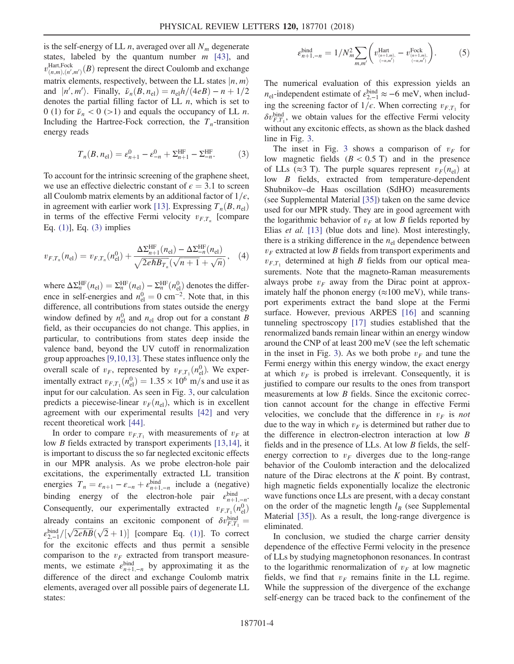is the self-energy of LL *n*, averaged over all  $N_m$  degenerate states, labeled by the quantum number  $m$  [43], and states, labeled by the quantum number  $m$  [\[43\]](#page-5-4), and<br> $\mathbb{R}^{\text{Hart, Fock}}$  (*B*) represent the direct Coulomb and avalance  $v_{(n,m),(n',m')}^{\text{Hart},\text{Fock}}(B)$  represent the direct Coulomb and exchange matrix elements, respectively, between the LL states  $|n, m\rangle$ and  $|n', m'\rangle$ . Finally,  $\bar{\nu}_n(B, n_{\text{el}}) = n_{\text{el}}h/(4eB) - n + 1/2$ <br>denotes the partial filling factor of LL n, which is set to denotes the partial filling factor of  $LL$  *n*, which is set to 0 (1) for  $\bar{\nu}_n < 0$  (>1) and equals the occupancy of LL *n*. Including the Hartree-Fock correction, the  $T_n$ -transition energy reads

<span id="page-3-0"></span>
$$
T_n(B, n_{\rm el}) = \varepsilon_{n+1}^0 - \varepsilon_{-n}^0 + \Sigma_{n+1}^{\rm HF} - \Sigma_{-n}^{\rm HF}.
$$
 (3)

To account for the intrinsic screening of the graphene sheet, we use an effective dielectric constant of  $\epsilon = 3.1$  to screen all Coulomb matrix elements by an additional factor of  $1/\epsilon$ , in agreement with earlier work [\[13\].](#page-4-6) Expressing  $T_n(B, n_{el})$ in terms of the effective Fermi velocity  $v_{FT}$  [compare Eq. [\(1\)\]](#page-1-1), Eq. [\(3\)](#page-3-0) implies

$$
v_{F,T_n}(n_{\rm el}) = v_{F,T_n}(n_{\rm el}^0) + \frac{\Delta \Sigma_{n+1}^{\rm HF}(n_{\rm el}) - \Delta \Sigma_{-n}^{\rm HF}(n_{\rm el})}{\sqrt{2e\hbar B_{T_n}}(\sqrt{n+1} + \sqrt{n})}, \quad (4)
$$

where  $\Delta \Sigma_n^{\text{HF}}(n_{\text{el}}) = \Sigma_n^{\text{HF}}(n_{\text{el}}) - \Sigma_n^{\text{HF}}(n_{\text{el}}^0)$  denotes the difference in self-energies and  $n_{el}^0 = 0$  cm<sup>-2</sup>. Note that, in this difference all contributions from states outside the energy difference, all contributions from states outside the energy window defined by  $n_{el}^{0}$  and  $n_{el}$  drop out for a constant B field as their occupancies do not change. This applies in field, as their occupancies do not change. This applies, in particular, to contributions from states deep inside the valence band, beyond the UV cutoff in renormalization group approaches [\[9,10,13\].](#page-4-5) These states influence only the overall scale of  $v_F$ , represented by  $v_{F,T_1}(n_{\text{el}}^0)$ . We exper-<br>imaginally autrest  $v_F(n_{\text{el}}^0) = 1.35 \times 10^6$  m/s and use it as imentally extract  $v_{F,T_1}(n_{\text{el}}^0) = 1.35 \times 10^6$  m/s and use it as input for our calculation. As seen in Fig. [3,](#page-2-1) our calculation predicts a piecewise-linear  $v_F(n_{el})$ , which is in excellent agreement with our experimental results [\[42\]](#page-5-5) and very recent theoretical work [\[44\]](#page-5-6).

In order to compare  $v_{F,T_1}$  with measurements of  $v_F$  at low B fields extracted by transport experiments [\[13,14\],](#page-4-6) it is important to discuss the so far neglected excitonic effects in our MPR analysis. As we probe electron-hole pair excitations, the experimentally extracted LL transition energies  $T_n = \varepsilon_{n+1} - \varepsilon_{-n} + \varepsilon_{n+1,-n}^{\text{bind}}$  include a (negative)<br>binding approximately algebras help again shind binding energy of the electron-hole pair  $\epsilon_{n+1,-n}^{\text{bind}}$ . Consequently, our experimentally extracted  $v_{F,T_1}(n_{el}^0)$ already contains an excitonic component of  $\delta v_{F,T_1}^{\text{bind}} =$  $\varepsilon_{2,-1}^{\text{bind}}/[\sqrt{2e\hbar B}(\sqrt{2}+1)]$  [compare Eq. [\(1\)\]](#page-1-1). To correct<br>for the excitonic effects and thus permit a sensible for the excitonic effects and thus permit a sensible comparison to the  $v_F$  extracted from transport measurements, we estimate  $\varepsilon_{n+1,-n}^{\text{bind}}$  by approximating it as the difference of the direct and exchange Coulomb metrix difference of the direct and exchange Coulomb matrix elements, averaged over all possible pairs of degenerate LL states:

$$
\varepsilon_{n+1,-n}^{\text{bind}} = 1/N_m^2 \sum_{m,m'} \left( v_{\frac{(n+1,m)}{(n,m')}}^{\text{Hart}} - v_{\frac{(n+1,m)}{(n,m')}}^{\text{Fock}} \right). \tag{5}
$$

The numerical evaluation of this expression yields an  $n_{\text{el}}$ -independent estimate of  $\varepsilon_{2,-1}^{\text{bind}} \approx -6 \text{ meV}$ , when includ-<br>ing the expensive fector of  $1/\varepsilon$ . When expressive  $x_i$  for ing the screening factor of  $1/\epsilon$ . When correcting  $v_{F,T_1}$  for  $\delta v_{F,T_1}^{\text{bind}}$ , we obtain values for the effective Fermi velocity<br>without any excitonic effects, as shown as the black deshed without any excitonic effects, as shown as the black dashed line in Fig. [3](#page-2-1).

The inset in Fig. [3](#page-2-1) shows a comparison of  $v_F$  for low magnetic fields  $(B < 0.5$  T) and in the presence of LLs ( $\approx$ 3 T). The purple squares represent  $v_F(n_{\rm el})$  at low B fields, extracted from temperature-dependent Shubnikov–de Haas oscillation (SdHO) measurements (see Supplemental Material [\[35\]](#page-5-2)) taken on the same device used for our MPR study. They are in good agreement with the logarithmic behavior of  $v_F$  at low B fields reported by Elias *et al.* [\[13\]](#page-4-6) (blue dots and line). Most interestingly, there is a striking difference in the  $n_{el}$  dependence between  $v_F$  extracted at low B fields from transport experiments and  $v_{F,T_1}$  determined at high B fields from our optical measurements. Note that the magneto-Raman measurements always probe  $v_F$  away from the Dirac point at approximately half the phonon energy  $(\approx 100 \text{ meV})$ , while transport experiments extract the band slope at the Fermi surface. However, previous ARPES [\[16\]](#page-4-16) and scanning tunneling spectroscopy [\[17\]](#page-4-9) studies established that the renormalized bands remain linear within an energy window around the CNP of at least 200 meV (see the left schematic in the inset in Fig. [3\)](#page-2-1). As we both probe  $v_F$  and tune the Fermi energy within this energy window, the exact energy at which  $v_F$  is probed is irrelevant. Consequently, it is justified to compare our results to the ones from transport measurements at low B fields. Since the excitonic correction cannot account for the change in effective Fermi velocities, we conclude that the difference in  $v_F$  is not due to the way in which  $v_F$  is determined but rather due to the difference in electron-electron interaction at low B fields and in the presence of LLs. At low B fields, the selfenergy correction to  $v_F$  diverges due to the long-range behavior of the Coulomb interaction and the delocalized nature of the Dirac electrons at the  $K$  point. By contrast, high magnetic fields exponentially localize the electronic wave functions once LLs are present, with a decay constant on the order of the magnetic length  $l_B$  (see Supplemental Material [\[35\]\)](#page-5-2). As a result, the long-range divergence is eliminated.

In conclusion, we studied the charge carrier density dependence of the effective Fermi velocity in the presence of LLs by studying magnetophonon resonances. In contrast to the logarithmic renormalization of  $v_F$  at low magnetic fields, we find that  $v_F$  remains finite in the LL regime. While the suppression of the divergence of the exchange self-energy can be traced back to the confinement of the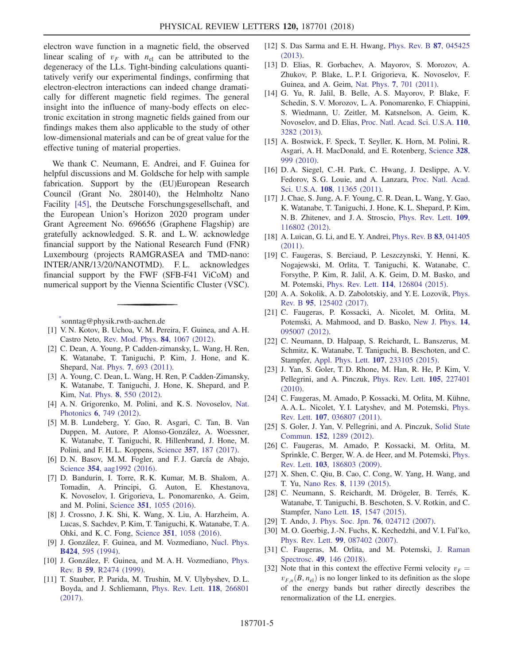electron wave function in a magnetic field, the observed linear scaling of  $v_F$  with  $n_{el}$  can be attributed to the degeneracy of the LLs. Tight-binding calculations quantitatively verify our experimental findings, confirming that electron-electron interactions can indeed change dramatically for different magnetic field regimes. The general insight into the influence of many-body effects on electronic excitation in strong magnetic fields gained from our findings makes them also applicable to the study of other low-dimensional materials and can be of great value for the effective tuning of material properties.

We thank C. Neumann, E. Andrei, and F. Guinea for helpful discussions and M. Goldsche for help with sample fabrication. Support by the (EU)European Research Council (Grant No. 280140), the Helmholtz Nano Facility [\[45\]](#page-5-7), the Deutsche Forschungsgesellschaft, and the European Union's Horizon 2020 program under Grant Agreement No. 696656 (Graphene Flagship) are gratefully acknowledged. S. R. and L. W. acknowledge financial support by the National Research Fund (FNR) Luxembourg (projects RAMGRASEA and TMD-nano: INTER/ANR/13/20/NANOTMD). F. L. acknowledges financial support by the FWF (SFB-F41 ViCoM) and numerical support by the Vienna Scientific Cluster (VSC).

<span id="page-4-0"></span>[\\*](#page-0-0) sonntag@physik.rwth-aachen.de

- <span id="page-4-1"></span>[1] V. N. Kotov, B. Uchoa, V. M. Pereira, F. Guinea, and A. H. Castro Neto, [Rev. Mod. Phys.](https://doi.org/10.1103/RevModPhys.84.1067) 84, 1067 (2012).
- <span id="page-4-2"></span>[2] C. Dean, A. Young, P. Cadden-zimansky, L. Wang, H. Ren, K. Watanabe, T. Taniguchi, P. Kim, J. Hone, and K. Shepard, Nat. Phys. 7[, 693 \(2011\).](https://doi.org/10.1038/nphys2007)
- [3] A. Young, C. Dean, L. Wang, H. Ren, P. Cadden-Zimansky, K. Watanabe, T. Taniguchi, J. Hone, K. Shepard, and P. Kim, Nat. Phys. 8[, 550 \(2012\).](https://doi.org/10.1038/nphys2307)
- <span id="page-4-3"></span>[4] A. N. Grigorenko, M. Polini, and K. S. Novoselov, [Nat.](https://doi.org/10.1038/nphoton.2012.262) Photonics 6[, 749 \(2012\).](https://doi.org/10.1038/nphoton.2012.262)
- [5] M. B. Lundeberg, Y. Gao, R. Asgari, C. Tan, B. Van Duppen, M. Autore, P. Alonso-González, A. Woessner, K. Watanabe, T. Taniguchi, R. Hillenbrand, J. Hone, M. Polini, and F. H. L. Koppens, Science 357[, 187 \(2017\).](https://doi.org/10.1126/science.aan2735)
- [6] D. N. Basov, M. M. Fogler, and F. J. García de Abajo, Science 354[, aag1992 \(2016\).](https://doi.org/10.1126/science.aag1992)
- <span id="page-4-4"></span>[7] D. Bandurin, I. Torre, R. K. Kumar, M. B. Shalom, A. Tomadin, A. Principi, G. Auton, E. Khestanova, K. Novoselov, I. Grigorieva, L. Ponomarenko, A. Geim, and M. Polini, Science 351[, 1055 \(2016\)](https://doi.org/10.1126/science.aad0201).
- [8] J. Crossno, J. K. Shi, K. Wang, X. Liu, A. Harzheim, A. Lucas, S. Sachdev, P. Kim, T. Taniguchi, K. Watanabe, T. A. Ohki, and K. C. Fong, Science 351[, 1058 \(2016\).](https://doi.org/10.1126/science.aad0343)
- <span id="page-4-5"></span>[9] J. González, F. Guinea, and M. Vozmediano, [Nucl. Phys.](https://doi.org/10.1016/0550-3213(94)90410-3) B424[, 595 \(1994\).](https://doi.org/10.1016/0550-3213(94)90410-3)
- [10] J. González, F. Guinea, and M. A. H. Vozmediano, [Phys.](https://doi.org/10.1103/PhysRevB.59.R2474) Rev. B 59[, R2474 \(1999\).](https://doi.org/10.1103/PhysRevB.59.R2474)
- [11] T. Stauber, P. Parida, M. Trushin, M. V. Ulybyshev, D. L. Boyda, and J. Schliemann, [Phys. Rev. Lett.](https://doi.org/10.1103/PhysRevLett.118.266801) 118, 266801 [\(2017\).](https://doi.org/10.1103/PhysRevLett.118.266801)
- [12] S. Das Sarma and E. H. Hwang, [Phys. Rev. B](https://doi.org/10.1103/PhysRevB.87.045425) 87, 045425 [\(2013\).](https://doi.org/10.1103/PhysRevB.87.045425)
- <span id="page-4-6"></span>[13] D. Elias, R. Gorbachev, A. Mayorov, S. Morozov, A. Zhukov, P. Blake, L. P. I. Grigorieva, K. Novoselov, F. Guinea, and A. Geim, Nat. Phys. 7[, 701 \(2011\)](https://doi.org/10.1038/nphys2049).
- <span id="page-4-7"></span>[14] G. Yu, R. Jalil, B. Belle, A. S. Mayorov, P. Blake, F. Schedin, S. V. Morozov, L. A. Ponomarenko, F. Chiappini, S. Wiedmann, U. Zeitler, M. Katsnelson, A. Geim, K. Novoselov, and D. Elias, [Proc. Natl. Acad. Sci. U.S.A.](https://doi.org/10.1073/pnas.1300599110) 110, [3282 \(2013\)](https://doi.org/10.1073/pnas.1300599110).
- <span id="page-4-8"></span>[15] A. Bostwick, F. Speck, T. Seyller, K. Horn, M. Polini, R. Asgari, A. H. MacDonald, and E. Rotenberg, [Science](https://doi.org/10.1126/science.1186489) 328, [999 \(2010\)](https://doi.org/10.1126/science.1186489).
- <span id="page-4-16"></span>[16] D. A. Siegel, C.-H. Park, C. Hwang, J. Deslippe, A. V. Fedorov, S. G. Louie, and A. Lanzara, [Proc. Natl. Acad.](https://doi.org/10.1073/pnas.1100242108) Sci. U.S.A. 108[, 11365 \(2011\)](https://doi.org/10.1073/pnas.1100242108).
- <span id="page-4-9"></span>[17] J. Chae, S. Jung, A. F. Young, C. R. Dean, L. Wang, Y. Gao, K. Watanabe, T. Taniguchi, J. Hone, K. L. Shepard, P. Kim, N. B. Zhitenev, and J. A. Stroscio, [Phys. Rev. Lett.](https://doi.org/10.1103/PhysRevLett.109.116802) 109, [116802 \(2012\).](https://doi.org/10.1103/PhysRevLett.109.116802)
- <span id="page-4-10"></span>[18] A. Luican, G. Li, and E. Y. Andrei, *[Phys. Rev. B](https://doi.org/10.1103/PhysRevB.83.041405)* **83**, 041405 [\(2011\).](https://doi.org/10.1103/PhysRevB.83.041405)
- [19] C. Faugeras, S. Berciaud, P. Leszczynski, Y. Henni, K. Nogajewski, M. Orlita, T. Taniguchi, K. Watanabe, C. Forsythe, P. Kim, R. Jalil, A. K. Geim, D. M. Basko, and M. Potemski, Phys. Rev. Lett. 114[, 126804 \(2015\).](https://doi.org/10.1103/PhysRevLett.114.126804)
- <span id="page-4-11"></span>[20] A. A. Sokolik, A. D. Zabolotskiy, and Y. E. Lozovik, [Phys.](https://doi.org/10.1103/PhysRevB.95.125402) Rev. B 95[, 125402 \(2017\).](https://doi.org/10.1103/PhysRevB.95.125402)
- [21] C. Faugeras, P. Kossacki, A. Nicolet, M. Orlita, M. Potemski, A. Mahmood, and D. Basko, [New J. Phys.](https://doi.org/10.1088/1367-2630/14/9/095007) 14, [095007 \(2012\).](https://doi.org/10.1088/1367-2630/14/9/095007)
- <span id="page-4-13"></span>[22] C. Neumann, D. Halpaap, S. Reichardt, L. Banszerus, M. Schmitz, K. Watanabe, T. Taniguchi, B. Beschoten, and C. Stampfer, [Appl. Phys. Lett.](https://doi.org/10.1063/1.4936995) 107, 233105 (2015).
- [23] J. Yan, S. Goler, T. D. Rhone, M. Han, R. He, P. Kim, V. Pellegrini, and A. Pinczuk, [Phys. Rev. Lett.](https://doi.org/10.1103/PhysRevLett.105.227401) 105, 227401 [\(2010\).](https://doi.org/10.1103/PhysRevLett.105.227401)
- [24] C. Faugeras, M. Amado, P. Kossacki, M. Orlita, M. Kühne, A. A. L. Nicolet, Y. I. Latyshev, and M. Potemski, [Phys.](https://doi.org/10.1103/PhysRevLett.107.036807) Rev. Lett. 107[, 036807 \(2011\).](https://doi.org/10.1103/PhysRevLett.107.036807)
- [25] S. Goler, J. Yan, V. Pellegrini, and A. Pinczuk, [Solid State](https://doi.org/10.1016/j.ssc.2012.04.020) Commun. 152[, 1289 \(2012\)](https://doi.org/10.1016/j.ssc.2012.04.020).
- [26] C. Faugeras, M. Amado, P. Kossacki, M. Orlita, M. Sprinkle, C. Berger, W. A. de Heer, and M. Potemski, [Phys.](https://doi.org/10.1103/PhysRevLett.103.186803) Rev. Lett. 103[, 186803 \(2009\).](https://doi.org/10.1103/PhysRevLett.103.186803)
- <span id="page-4-15"></span>[27] X. Shen, C. Qiu, B. Cao, C. Cong, W. Yang, H. Wang, and T. Yu, Nano Res. 8[, 1139 \(2015\)](https://doi.org/10.1007/s12274-014-0594-9).
- <span id="page-4-14"></span>[28] C. Neumann, S. Reichardt, M. Drögeler, B. Terrés, K. Watanabe, T. Taniguchi, B. Beschoten, S. V. Rotkin, and C. Stampfer, Nano Lett. 15[, 1547 \(2015\).](https://doi.org/10.1021/nl5038825)
- [29] T. Ando, [J. Phys. Soc. Jpn.](https://doi.org/10.1143/JPSJ.76.024712) 76, 024712 (2007).
- [30] M. O. Goerbig, J.-N. Fuchs, K. Kechedzhi, and V. I. Fal'ko, Phys. Rev. Lett. 99[, 087402 \(2007\)](https://doi.org/10.1103/PhysRevLett.99.087402).
- <span id="page-4-12"></span>[31] C. Faugeras, M. Orlita, and M. Potemski, [J. Raman](https://doi.org/10.1002/jrs.5213) Spectrosc. 49[, 146 \(2018\).](https://doi.org/10.1002/jrs.5213)
- [32] Note that in this context the effective Fermi velocity  $v_F =$  $v_{F,n}(B, n_{el})$  is no longer linked to its definition as the slope of the energy bands but rather directly describes the renormalization of the LL energies.